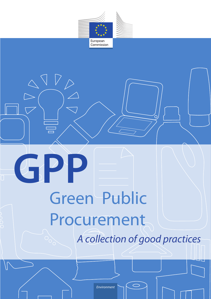

# *A collection of good practices* Green Public Procurement **GPP**

*Environment*

**Contact details:** 

듵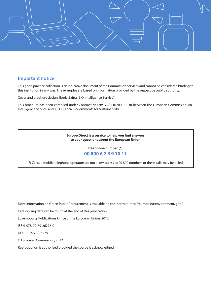

### **Important notice**

This good practice collection is an indicative document of the Commission services and cannot be considered binding to this institution in any way. The examples are based on information provided by the respective public authority.

Cover and brochure design: Iberia Zafira (BIO Intelligence Service)

This brochure has been compiled under Contract № ENV.G.2/SER/2009/0030 between the European Commission, BIO Intelligence Service, and ICLEI – Local Governments for Sustainability.

### **Europe Direct is a service to help you find answers to your questions about the European Union**

### **Freephone number (\*): 00 800 6 7 8 9 10 11**

(\*) Certain mobile telephone operators do not allow access to 00 800 numbers or these calls may be billed.

More information on Green Public Procurement is available on the Internet (http://europa.eu/environment/gpp/).

Cataloguing data can be found at the end of this publication.

Luxembourg: Publications Office of the European Union, 2012

ISBN: 978-92-79-26276-0

DOI: 10.2779/93178

© European Commission, 2012

Reproduction is authorised provided the source is acknowledged.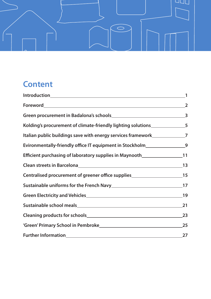

# **Content**

|                                                                                   | $\mathbf{1}$            |
|-----------------------------------------------------------------------------------|-------------------------|
|                                                                                   | $\overline{2}$          |
|                                                                                   | $\overline{\mathbf{3}}$ |
| Kolding's procurement of climate-friendly lighting solutions_______________5      |                         |
| Italian public buildings save with energy services framework<br>7                 |                         |
| Evironmentally-friendly office IT equipment in Stockholm__________________9       |                         |
| Efficient purchasing of laboratory supplies in Maynooth_______________________11  |                         |
|                                                                                   |                         |
| Centralised procurement of greener office supplies_____________________________15 |                         |
|                                                                                   |                         |
|                                                                                   |                         |
|                                                                                   | 21                      |
|                                                                                   | 23                      |
|                                                                                   | 25                      |
|                                                                                   | 27                      |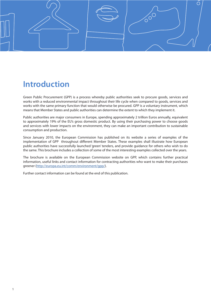<span id="page-3-0"></span>

# **Introduction**

Green Public Procurement (GPP) is a process whereby public authorities seek to procure goods, services and works with a reduced environmental impact throughout their life cycle when compared to goods, services and works with the same primary function that would otherwise be procured. GPP is a voluntary instrument, which means that Member States and public authorities can determine the extent to which they implement it.

Public authorities are major consumers in Europe, spending approximately 2 trillion Euros annually, equivalent to approximately 19% of the EU's gross domestic product. By using their purchasing power to choose goods and services with lower impacts on the environment, they can make an important contribution to sustainable consumption and production.

Since January 2010, the European Commission has published on its website a series of examples of the implementation of GPP throughout different Member States. These examples shall illustrate how European public authorities have successfully launched 'green' tenders, and provide guidance for others who wish to do the same. This brochure includes a collection of some of the most interesting examples collected over the years.

The brochure is available on the European Commission website on GPP, which contains further practical information, useful links and contact information for contracting authorities who want to make their purchases greener (<http://europa.eu.int/comm/environment/gpp/>).

Further contact information can be found at the end of this publication.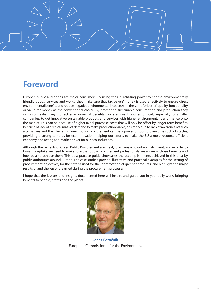<span id="page-4-0"></span>

# **Foreword**

Europe's public authorities are major consumers. By using their purchasing power to choose environmentally friendly goods, services and works, they make sure that tax payers' money is used effectively to ensure direct environmental benefits and reduce negative environmental impacts with the same (or better) quality, functionality or value for money as the conventional choice. By promoting sustainable consumption and production they can also create many indirect environmental benefits. For example it is often difficult, especially for smaller companies, to get innovative sustainable products and services with higher environmental performance onto the market. This can be because of higher initial purchase costs that will only be offset by longer term benefits, because of lack of a critical mass of demand to make production viable, or simply due to lack of awareness of such alternatives and their benefits. Green public procurement can be a powerful tool to overcome such obstacles, providing a strong stimulus for eco-innovation, helping our efforts to make the EU a more resource-efficient economy and acting as a market driver for our eco-industries.

Although the benefits of Green Public Procurement are great, it remains a voluntary instrument, and in order to boost its uptake we need to make sure that public procurement professionals are aware of those benefits and how best to achieve them. This best practice guide showcases the accomplishments achieved in this area by public authorities around Europe. The case studies provide illustrative and practical examples for the setting of procurement objectives, for the criteria used for the identification of greener products, and highlight the major results of and the lessons learned during the procurement processes.

I hope that the lessons and insights documented here will inspire and guide you in your daily work, bringing benefits to people, profits and the planet.



**Janez Potočnik**  European Commissioner for the Environment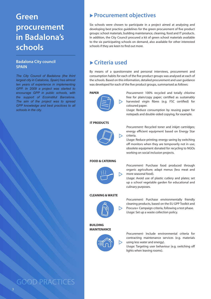# <span id="page-5-0"></span>**Green procurement in Badalona's schools**

### **Badalona City council SPAIN**

*The City Council of Badalona (the third largest city in Catalonia, Spain) has almost ten years of experience in implementing GPP. In 2009 a project was started to encourage GPP in public schools, with the support of Ecoinstitut Barcelona. The aim of the project was to spread GPP knowledge and best practices to all schools in the city.*

# ▶ Procurement objectives

Six schools were chosen to participate in a project aimed at analysing and developing best practice guidelines for the green procurement of five product groups: school materials, building maintenance, cleaning, food and IT products. In addition, the City Council procured a kit of green school materials available to the six participating schools on demand, also available for other interested schools if they are keen to find out more.

# u **Criteria used**

By means of a questionnaire and personal interviews, procurement and consumption habits for each of the five product groups was analysed at each of the schools. Based on this information, detailed procurement and user guidance was developed for each of the five product groups, summarised as follows:

### **PAPER**



*Procurement:* 100% recycled and totally chlorine free for plain/copy paper; certified as sustainably harvested virgin fibres (e.g. FSC certified) for coloured paper.

*Usage:* Reduce consumption by reusing paper for notepads and double-sided copying, for example.

### **IT PRODUCTS**



*Procurement:* Recycled toner and inkjet cartridges; energy efficient equipment based on Energy Star criteria.

*Usage:* Reduce printing; energy saving by switching off monitors when they are temporarily not in use; obsolete equipment donated for recycling to NGOs working on social inclusion projects.

#### **FOOD & CATERING**



*Procurement:* Purchase food produced through organic agriculture; adapt menus (less meat and more seasonal food).

*Usage:* Avoid use of plastic cutlery and plates; set up a school vegetable garden for educational and culinary purposes.

### **CLEANING & WASTE**



*Procurement:* Purchase environmentally friendly cleaning products, based on the EU GPP Toolkit and Procura+ Campaign criteria, following a test phase. *Usage:* Set up a waste collection policy.

**BUILDING MAINTENANCE**



*Procurement:* Include environmental criteria for contracting maintenance services (e.g. materials using less water and energy).

*Usage:* Targeting user behaviour (e.g. switching off lights when leaving rooms).

# GOOD PRACTICES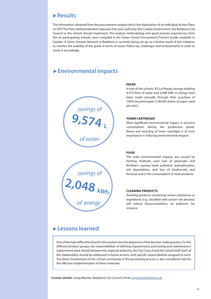The information obtained from the procurement analysis led to the elaboration of six individual Action Plans on GPP. The Plans defined detailed measures that each authority (the Catalan Government, the Badalona City Council or the school) should implement. The analysis methodology and good practice experiences, from the six participating schools, were compiled in the Green School Procurement Practice Guide, available in Catalan. A Green Schools Network in Badalona is currently being set up, as a further result of this initiative, to monitor the usability of the guide in terms of issues, follow-up, challenges and achievements in order to revise it accordingly.

# u **Environmental impacts**



**2,048 kWh**

*savings of*

*of energy*

#### **PAPER**

In one of the schools, IES La Pineda, savings totalling 9,574 litres of water and 2,048 kWh in energy have been made annually through their purchase of 100% recycled paper (128,000 sheets of paper used per year).

#### **TONER CARTRIDGES**

Most significant environmental impact is resource consumption during the production phase. Reuse and recycling of toner cartridges is of most importance in reducing environmental impacts.

#### **FOOD**

The main environmental impacts are caused by farming methods used (use of pesticides and fertilisers causing water pollution, eutrophication, soil degradation, and loss of biodiversity and forestry) and in the consumption of meat products.

#### **CLEANING PRODUCTS**

Avoiding products containing certain substances or ingredients (e.g. classified with certain risk phrases) will reduce bioaccumulation, air pollution, for instance.

# u **Lessons learned**

One of the main difficulties found in the analysis was the dispersion of the decision-making actors. For the different product groups, the responsibilities of defining requirements, purchasing and maintenance/ replacement were shared between the regional authority, the City Council and the school itself. Each of the stakeholders should be addressed in future actions, with specific responsibilities assigned to each. The direct involvement of the school community in the purchasing process is also considered vital for the effective implementation of these measures.

**Contact details:** Josep Montes, Badalona City Council, Email: [jmontes@badalona.cat](mailto: jmontes@badalona.cat)

#### 4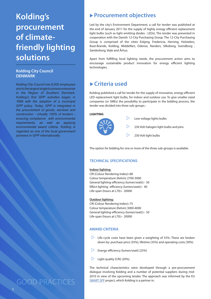# <span id="page-7-0"></span>**Kolding's procurement of climatefriendly lighting solutions**

### **Kolding City Council DENMARK**

*Kolding City Council has 8,000 employees and is the largest single business enterprise in the Region of Southern Denmark. Kolding's first GPP activities began in 1998 with the adoption of a municipal GPP policy. Today, GPP is integrated in the procurement of goods, services and construction - virtually 100% of tenders ensuring compliance with environmental requirements, as well as applying environmental award criteria. Kolding is regarded as one of the local government pioneers in GPP internationally.* 

GOOD PRACTICES

5

# ▶ Procurement objectives

Led by the city's Environment Department, a call for tender was published at the end of January 2011 for the supply of highly energy efficient replacement light bulbs (such as light emitting diodes - LEDs). The tender was presented in cooperation with the Danish 12-City Purchasing Group. The 12-City Purchasing Group is comprised of the cities Esbjerg, Fredericia, Herning, Holstebro, Ikast-Brande, Kolding, Middelfart, Odense, Randers, Silkeborg, Svendborg , Sønderborg, Vejle and Århus.

Apart from fulfilling local lighting needs, the procurement action aims to encourage sustainable product innovation for energy efficient lighting technologies.

# u **Criteria used**

Kolding published a call for tender for the supply of innovative, energy efficient LED replacement light bulbs, for indoor and outdoor use. To give smaller sized companies (or SMEs) the possibility to participate in the bidding process, the tender was divided into three sub-groups :

### **LIGHTING**



The option for bidding for one or more of the three sub-groups is available.

### **TECHNICAL SPECIFICATIONS**

#### **Indoor lighting:**

CRI (Colour Rendering Index)>80 Colour temperature (Kelvin) 2700-3000 General lighting-efficiency (lumen/watt)> 50 Effect lighting -efficiency (lumen/watt)> 40 Life-span (hours at L70)> 20000

### **Outdoor lighting:**

CRI (Colour Rendering Index)>75 Colour temperature (Kelvin) 3000-4000 General lighting-efficiency (lumen/watt)> 50 Life-span (hours at L70)> 20000

### **AWARD CRITERIA**

- $\triangleright$  Life-cycle costs have been given a weighting of 55%. These are broken down by: purchase price (35%), lifetime (35%) and operating costs (30%)
- $\triangleright$  Energy-efficiency (lumen/watt) (25%)
- $\triangleright$  Light quality (CRI) (20%).

The technical characteristics were developed through a pre-procurement dialogue involving Kolding and a number of potential suppliers during mid-2010 in view of the upcoming tender. The approach was informed by the EU **[SMART SPP](http://www.smart-spp.eu/)** project, which Kolding is a partner in.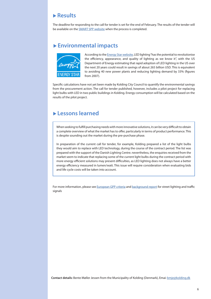The deadline for responding to the call for tender is set for the end of February. The results of the tender will be available on the [SMART SPP website](http://www.smart-spp.eu/) when the process is completed.

# u **Environmental impacts**



According to the [Energy Star website,](http://www.energystar.gov) LED lighting "has the potential to revolutionise the efficiency, appearance, and quality of lighting as we know it", with the US Department of Energy estimating that rapid adoption of LED lighting in the US over the next 20 years could result in savings of about 265 billion USD. This is equivalent to avoiding 40 new power plants and reducing lighting demand by 33% (figures from 2007).

Specific calculations have not yet been made by Kolding City Council to quantify the environmental savings from the procurement action. The call for tender published, however, includes a pilot project for replacing light bulbs with LED in two public buildings in Kolding. Energy consumption will be calculated based on the results of the pilot project.

# u **Lessons learned**

When seeking to fulfill purchasing needs with more innovative solutions, it can be very difficult to obtain a complete overview of what the market has to offer, particularly in terms of product performance. This is despite sounding out the market during the pre-purchase phase.

In preparation of the current call for tender, for example, Kolding prepared a list of the light bulbs they would aim to replace with LED technology, during the course of the contract period. The list was prepared with the support of the Danish Lighting Centre. nevertheless, the enquiries received from the market seem to indicate that replacing some of the current light bulbs during the contract period with more energy efficient solutions may present difficulties, as LED lighting does not always have a better energy efficiency measured in lumen/watt. This issue will require consideration when evaluating bids and life cycle costs will be taken into account.

For more information, please see [European GPP criteria](http://ec.europa.eu/environment/gpp/pdf/street_lighting_GPP_product_sheet.pdf) and [background report](http://ec.europa.eu/environment/gpp/pdf/street_lighting_GPP_background_report.pdf) for street lighting and traffic signals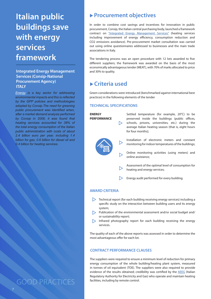<span id="page-9-0"></span>**buildings save with energy services framework**

### **Integrated Energy Management** and 30% to quality. **Services (Consip-National Procurement Agency) ITALY**

*[Energy](http://www.managenergy.net/actors/1597) is a key sector for addressing environmental impacts and this is reflected by the GPP policies and methodologies adopted by Consip.The need for greening public procurement was identified when, after a market demand analysis performed by Consip in 2006, it was found that heating services accounted for 38% of the total energy consumption of the Italian public administration with costs of about 2.4 billion euro per year, including 1.4 billion for gas, 0.6 billion for diesel oil and 0.4 billion for heating services.*

GOOD PRACTICES

# Italian public **Procurement objectives**

In order to combine cost savings and incentives for innovation in public procurement, Consip, the Italian central purchasing body, launched a framework contract on ["Integrated Energy Management Services"](http://www.prismeprocurement.eu/documents/Newsletter_PRISME_1_EN.pdf) (heating services including improvement of energy efficiency, consumption reduction and CO2 emissions avoidance). Pre-procurement market consultation was carried out using online questionnaires addressed to businesses and the main trade associations in Italy.

The tendering process was an open procedure with 12 lots awarded to five different suppliers; the framework was awarded on the basis of the most economically advantageous tender (MEAT), with 70% of marks allocated to price

# u **Criteria used**

Green considerations were introduced (benchmarked against international best practices) in the following elements of the tender

### **TECHNICAL SPECIFICATIONS**



Energy audit performed for every building.

### **AWARD CRITERIA**

- Technical report (for each building receiving energy services) including a specific study on the interaction between building users and its energy system;
- **Publication of the environmental assessment and/or social budget and/** or sustainability report;
- $\triangleright$  Infrared photography report for each building receiving the energy services.

The quality of each of the above reports was assessed in order to determine the most advantageous offer for each lot.

### **CONTRACT PERFORMANCE CLAUSES**

The suppliers were required to ensure a minimum level of reduction for primary energy consumption of the whole building/heating plant system, measured in tonnes of oil equivalent (TOE). The suppliers were also required to provide evidence of the results obtained; credibility was certified by the [AEEG](http://www.autorita.energia.it/it/inglese/index.htm) (Italian Regulatory Authority for Electricity and Gas) who operate and maintain heating facilities, including by remote control.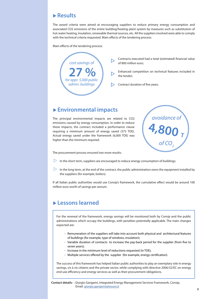The award criteria were aimed at encouraging suppliers to reduce primary energy consumption and associated CO2 emissions of the entire building/heating plant system by measures such as substitution of hot-water heating, insulation, renewable thermal sources, etc. All the suppliers involved were able to comply with the technical criteria requested. Main effects of the tendering process:

Main effects of the tendering process:



# ▶ Environmental impacts

The principal environmental impacts are related to CO2 emissions caused by energy consumption. In order to reduce these impacts, the contract included a performance clause requiring a minimum amount of energy saved (375 TOE). Actual energy saved under the framework (6,000 TOE) was higher than the minimum required.



The procurement process ensured two more results:

- $\triangleright$  In the short term, suppliers are encouraged to reduce energy consumption of buildings;
- $\triangleright$  In the long term, at the end of the contract, the public administration owns the equipment installed by the suppliers (for example, boilers).

If all Italian public authorities would use Consip's framework, the cumulative effect would be around 100 million euro worth of savings per annum.

# u **Lessons learned**

For the renewal of the framework, energy savings will be monitored both by Consip and the public administrations which occupy the buildings, with penalties potentially applicable. The main changes expected are:

- • Remuneration of the suppliers will take into account both physical and architectural features of buildings (for example, type of windows, insulation);
- • Variable duration of contracts to increase the pay-back period for the supplier (from five to seven years);
- Increase in the minimum level of reductions requested (in TOE);
- Multiple services offered by the supplier (for example, energy certification).

The success of this framework has helped Italian public authorities to play an exemplary role in energy savings, vis à vis citizens and the private sector, while complying with directive 2006/32/EC on energy end-use efficiency and energy services as well as their procurement obligations.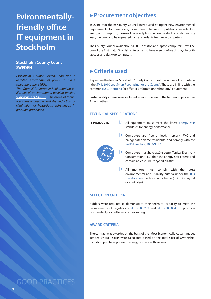# <span id="page-11-0"></span>**Evironmentallyfriendly office IT equipment in Stockholm**

### **Stockholm County Council SWEDEN**

*Stockholm County Council has had a detailed environmental policy in place since the early 1990s.* 

*The Council is currently implementing its fifth set of environmental policies entitled ["Environment Step 5"](http://sll.se/upload/Infomaterial/miljosteg5.pdf). The areas of focus are climate change and the reduction or elimination of hazardous substances in products purchased.*

# ▶ Procurement objectives

In 2010, Stockholm County Council introduced stringent new environmental requirements for purchasing computers. The new stipulations include low energy consumption, the use of recycled plastic in new products and eliminating lead, mercury and halogenated flame retardants from new computers.

The County Council owns about 40,000 desktop and laptop computers. It will be one of the first major Swedish enterprises to have mercury-free displays in both laptops and desktop computers.

# u **Criteria used**

To prepare the tender, Stockholm County Council used its own set of GPP criteria - the [SMIL 2010 set \(Smart Purchasing for the County\).](http://www.sll.se/sll/templates/NormalPage.aspx?id=31663) These are in line with the common [EU GPP criteria](http://ec.europa.eu/environment/gpp/pdf/toolkit/office_IT_equipment_GPP_product_sheet.pdf) for office IT (information technology) equipment.

Sustainability criteria were included in various areas of the tendering procedure Among others:

### **TECHNICAL SPECIFICATIONS**

### **IT PRODUCTS**

- All equipment must meet the latest [Energy Star](http://www.energystar.gov/) standards for energy performance
- $\triangleright$  Computers are free of lead, mercury, PVC and halogenated flame retardants, and comply with the [RoHS Directive, 2002/95/EC](http://eur-lex.europa.eu/LexUriServ/LexUriServ.do?uri=OJ:L:2003:037:0019:0023:en:PDF)
- $\triangleright$  Computers must have a 20% better Typical Electricity Consumption (TEC) than the Energy Star criteria and contain at least 10% recycled plastics
- $\triangleright$  All monitors must comply with the latest environmental and usability criteria under the [TCO](http://tcodevelopment.com/) [Development](http://tcodevelopment.com/) certification scheme (TCO Displays 5) or equivalent

### **SELECTION CRITERIA**

Bidders were required to demonstrate their technical capacity to meet the requirements of regulations [SFS 2005:209](http://www.sweden.gov.se/content/1/c6/04/93/88/75f0b74f.pdf) and [SFS 2008:834](http://eeb.naturvardsverket.se/Global/Lagar%20och%20Regler/SFS%202008%20834%20engelsk.pdf) on producer responsibility for batteries and packaging.

### **AWARD CRITERIA**

The contract was awarded on the basis of the "Most Economically Advantageous Tender "(MEAT). Costs were calculated based on the Total Cost of Ownership, including purchase price and energy costs over three years.

GOOD PRACTICES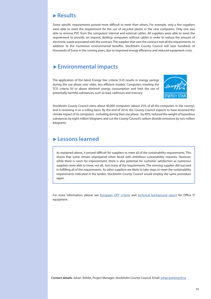Some specific requirements proved more difficult to meet than others. For example, only a few suppliers were able to meet the requirement for the use of recycled plastic in the new computers. Only one was able to remove PVC from the computers' internal and external cables. All suppliers were able to meet the requirement to provide, on request, desktop computers without cables in order to reduce the amount of electronic waste associated with the contract. The supplier that won the contract met all the requirements. In addition to the numerous environmental benefits, Stockholm County Council will save hundreds of thousands of Euros in the coming years, due to improved energy efficiency and reduced equipment costs.

# u **Environmental impacts**

The application of the latest Energy Star criteria (5.0) results in energy savings during the use phase over older, less efficient models. Computers meeting the TCO criteria 05 or above diminish energy consumption and limit the use of potentially harmful substances, such as lead, cadmium and mercury.



Stockholm County Council owns about 40,000 computers (about 25% of all the computers in the county), and is renewing it on a rolling basis. By the end of 2014, the County Council expects to have lessened the climate impact of its computers - including during their use phase - by 40%, reduced the weight of hazardous substances by eight million kilograms and cut the County Council's carbon dioxide emissions by two million kilograms.

# u **Lessons learned**

As explained above, it proved difficult for suppliers to meet all of the sustainability requirements. This shows that some remain unprepared when faced with ambitious sustainability requests. However, while there is room for improvement, there is also potential for customer satisfaction as numerous suppliers were able to meet, not all, but many of the requirements. The winning supplier did succeed in fulfilling all of the requirements. As other suppliers are likely to take steps to meet the sustainability requirements indicated in the tender, Stockholm County Council would employ the same procedure again.

For more information, please see [European GPP criteria](http://ec.europa.eu/environment/gpp/pdf/toolkit/office_IT_equipment_GPP_product_sheet.pdf) and t[echnical background report](http://ec.europa.eu/environment/gpp/pdf/toolkit/office_IT_equipment_GPP_background_report.pdf) for Office IT equipment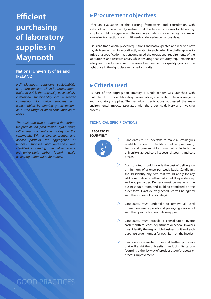# <span id="page-13-0"></span>**Efficient purchasing of laboratory supplies in Maynooth**

### **National University of Ireland IRELAND**

*NUI Maynooth considers sustainability as a core function within its procurement cycle. In 2006, the university successfully introduced sustainability into a tender competition for office supplies and consumables by offering green options on a wide range of office consumables to users.* 

*The next step was to address the carbon footprint of the procurement cycle itself, rather than concentrating solely on the commodity. With a diverse product and service portfolio, the aggregation of tenders, supplies and deliveries was identified as offering potential to reduce the university's carbon footprint while delivering better value for money.*

# ▶ Procurement objectives

After an evaluation of the existing frameworks and consultation with stakeholders, the university realised that the tender processes for laboratory supplies could be aggregated. The existing situation involved a high volume of low-value transactions and multiple-drop deliveries on various days.

Users had traditionally placed requisitions and both expected and received next day delivery with an invoice directly related to each order. The challenge was to arrive at a specification that encompassed the operational requirements of the laboratories and research areas, while ensuring that statutory requirements for safety and quality were met. The overall requirement for quality goods at the right price in the right place remained a priority.

# **► Criteria used**

As part of the aggregation strategy, a single tender was launched with multiple lots to cover laboratory consumables, chemicals, molecular reagents and laboratory supplies. The technical specifications addressed the main environmental impacts associated with the ordering, delivery and invoicing process.

### **TECHNICAL SPECIFICATIONS**

### **LABORATORY EQUIPMENT**



- $\triangleright$  Candidates must undertake to make all catalogues available online to facilitate online purchasing. Such catalogues must be formatted to include the university's agreed core-list costs, discounts and cost breaks.
- $\triangleright$  Costs quoted should include the cost of delivery on a minimum of a once per week basis. Candidates should identify any cost that would apply for any additional deliveries – this cost should be per delivery and not per order. Delivery must be made to the business unit, room and building stipulated on the order form. Exact delivery schedules will be agreed with the successful candidate(s).
- $\triangleright$  Candidates must undertake to remove all used drums, containers, pallets and packaging associated with their products at each delivery point.
- $\triangleright$  Candidates must provide a consolidated invoice each month for each department or school. Invoices must identify the responsible business unit and each purchase order number for each item on the invoice.
- $\triangleright$  Candidates are invited to submit further proposals that will assist the university in reducing its carbon footprint, either by way of product usage/proposal or process improvement.

GOOD PRACTICES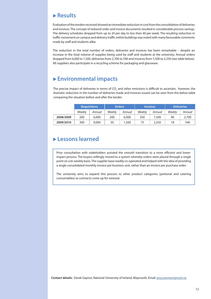Evaluation of the tenders received showed an immediate reduction in cost from the consolidation of deliveries and invoices. The concept of reduced order and invoice documents resulted in considerable process savings. The delivery schedules dropped from up to 20 per day to less than 40 per week. The resulting reduction in traffic movement on campus and delivery traffic within buildings was noted with many favourable comments made by staff and students alike.

The reduction in the total number of orders, deliveries and invoices has been remarkable – despite an increase in the total volume of supplies being used by staff and students at the university. Annual orders dropped from 6,000 to 1,500, deliveries from 2,700 to 540 and invoices from 7,500 to 2,250 (see table below). All suppliers also participate in a recycling scheme for packaging and glassware.

# ▶ Environmental impacts

The precise impact of deliveries in terms of CO<sub>2</sub> and other emissions is difficult to ascertain, however, the dramatic reduction in the number of deliveries made and invoices issued can be seen from the below table comparing the situation before and after the tender.

|           | <b>Requisitions</b> |        | <b>Orders</b> |        | <b>Invoices</b> |        | <b>Deliveries</b> |        |
|-----------|---------------------|--------|---------------|--------|-----------------|--------|-------------------|--------|
|           | Weekly              | Annual | Weekly        | Annual | Weekly          | Annual | Weekly            | Annual |
| 2008/2009 | 200                 | 6,000  | 200           | 6,000  | 250             | 7,500  | 90                | 2,700  |
| 2009/2010 | 300                 | 9,000  | 50            | 1,500  | 75              | 2,250  | 18                | 540    |

# u **Lessons learned**

Prior consultation with stakeholders assisted the smooth transition to a more efficient and lowerimpact process. The buyers willingly moved to a system whereby orders were placed through a single point on a bi-weekly basis. The supplier base readily co-operated and helped with the idea of providing a single consolidated monthly invoice per business unit, rather than an invoice per purchase order.

The university aims to expand this process to other product categories (janitorial and catering consumables) as contracts come up for renewal.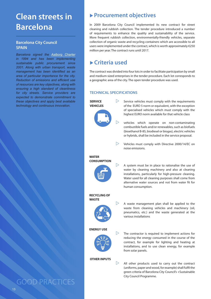# <span id="page-15-0"></span>**Clean streets in**

### **Barcelona City Council SPAIN**

*Barcelona signed the Aalborg Charter in 1994 and has been implementing sustainable public procurement since 2001. Along with urban transport, waste management has been identified as an area of particular importance for the city. Reduction of emissions and efficient use of resources are key objectives, along with ensuring a high standard of cleanliness for city streets. Service providers are expected to demonstrate commitment to these objectives and apply best available technology and continuous innovation.*

# ▶ Procurement objectives

**Barcelona** In 2009 Barcelona City Council implemented its new contract for street cleaning and rubbish collection. The tender procedure introduced a number of requirements to enhance the quality and sustainability of the service. More frequent rubbish collection, environmentally-friendly vehicles, separate collection of organic waste and recycling containers which are accessible to all users were implemented under the contract, which is worth approximately €250 million per year. The contract runs until 2017.

# u **Criteria used**

The contract was divided into four lots in order to facilitate participation by small and medium-sized enterprises in the tender procedure. Each lot corresponds to a geographic area of the city. The open tender procedure was used.

### **TECHNICAL SPECIFICATIONS**



 $\triangleright$  All other products used to carry out the contract (uniforms, paper and wood, for example) shall fulfil the green criteria of Barcelona City Council's +Sustainable City Council Programme.

13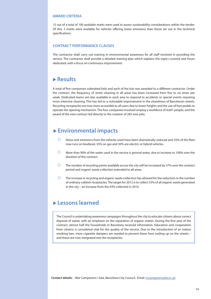### **AWARD CRITERIA**

15 out of a total of 100 available marks were used to assess sustainability considerations within the tender. Of this, 5 marks were available for vehicles offering lower emissions than those set out in the technical specifications.

### **CONTRACT PERFORMANCE CLAUSES**

The contractor shall carry out training in environmental awareness for all staff involved in providing the service. The contractor shall provide a detailed training plan which explains the topics covered and hours dedicated, with a focus on continuous improvement.

### u **Results**

A total of five companies submitted bids and each of the lots was awarded to a different contractor. Under the contract, the frequency of street cleaning in all areas has been increased from five to six times per week. Dedicated teams are also available in each area to respond to accidents or special events requiring more intensive cleaning. This has led to a noticeable improvement in the cleanliness of Barcelona's streets. Recycling receptacles are now more accessible to all users due to lower heights and the use of foot pedals to operate the opening mechanism. The four companies involved employ a workforce of 4,601 people, and the award of the new contract led directly to the creation of 283 new jobs.

# ▶ Environmental impacts

- $\triangleright$  Noise and emissions from the vehicles used have been dramatically reduced and 35% of the fleet now runs on biodiesel, 35% on gas and 30% are electric or hybrid vehicles.
- $\geq$  More than 90% of the water used in the service is ground water, due to increase to 100% over the duration of the contract.
- $\triangleright$  The number of recycling points available across the city will be increased by 37% over the contract period and organic waste collection extended to all areas.
- $\triangleright$  The increase in recycling and organic waste collection has allowed for the reduction in the number of ordinary rubbish receptacles. The target for 2012 is to collect 55% of all organic waste generated in the city – an increase from the 43% collected in 2010.

### u **Lessons learned**

The Council is undertaking awareness campaigns throughout the city to educate citizens about correct disposal of waste, with an emphasis on the separation of organic matter. During the first year of the contract, almost half the households in Barcelona received information. Education and cooperation from citizens is considered vital for the quality of the service. Due to the introduction of an indoor smoking ban, more cigarette dampers are needed to prevent these from ending up on the streets – and these are now integrated into the receptacles.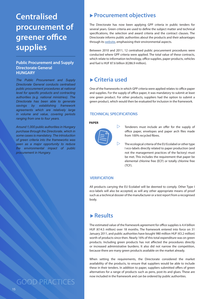# <span id="page-17-0"></span>**Centralised procurement of greener office supplies**

### Public Procurement and Supply and fuel is HUF 87.6 billion (€286.9 million). **Directorate General HUNGARY**

*The Public Procurement and Supply Directorate General conducts centralised public procurement procedures at national level for specific products and contracting authorities (e.g. national ministries). The Directorate has been able to generate savings by establishing framework agreements which are relatively large in volume and value, covering periods ranging from one to four years.* 

*Around 1,000 public authorities in Hungary purchase through the Directorate, which in some cases is mandatory. The introduction of green criteria into the frameworks was seen as a major opportunity to reduce the environmental impact of public procurement in Hungary.*

GOOD PRACTICES

# ▶ Procurement objectives

The Directorate has now been applying GPP criteria in public tenders for several years. Green criteria are used to define the subject matter and technical specifications, the selection and award criteria and the contract clauses. The Directorate informs public authorities about the products and their advantages through its [website](http://www.kozbeszerzes.gov.hu/portal/), emphasising their environmental aspects.

Between 2010 and 2011, 12 centralised public procurement procedures were conducted where GPP criteria were applied. The total value of these contracts, which relate to information technology, office supplies, paper products, vehicles

# **► Criteria used**

One of the frameworks in which GPP criteria were applied relates to office paper and supplies. For the supply of office paper, it was mandatory to submit at least one green product. For other products, suppliers had the option to submit a green product, which would then be evaluated for inclusion in the framework.

### **TECHNICAL SPECIFICATIONS**

### **PAPER**



- $\triangleright$  Tenderers must include an offer for the supply of office paper, envelopes and paper arch files made from 100% recycled fibres.
	- The ecological criteria of the EU Ecolabel or other type I eco-labels directly related to paper production (and not the management practices of the factory) must be met. This includes the requirement that paper be elemental chlorine free (ECF) or totally chlorine free (TCF).

### **VERIFICATION**

All products carrying the EU Ecolabel will be deemed to comply. Other Type I eco-labels will also be accepted, as will any other appropriate means of proof such as a technical dossier of the manufacturer or a test report from a recognised body.

# u **Results**

The estimated value of the framework agreement for office supplies is 4.4 billion HUF (€14.5 million) over 18 months. The framework entered into force on 31 January 2011, and public authorities have bought 980 million HUF (€3.2 million) worth of products since then. Nearly 16% of this total expenditure was on green products. Including green products has not affected the procedures directly or increased administrative burdens. It also did not narrow the competition, because there are many green products available on the market already.

When setting the requirements, the Directorate considered the market availability of the products, to ensure that suppliers would be able to include these in their tenders. In addition to paper, suppliers submitted offers of green alternatives for a range of products such as pens, post-its and glues. These are now included in the framework and can be ordered by public authorities.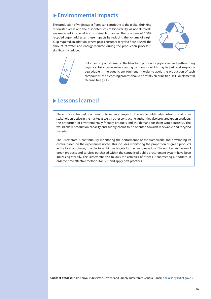# u **Environmental impacts**

The production of virgin paper fibres can contribute to the global shrinking of forested areas and the associated loss of biodiversity, as not all forests are managed in a legal and sustainable manner. The purchase of 100% recycled paper addresses these impacts by reducing the volume of virgin pulp required. In addition, where post-consumer recycled fibre is used, the amount of water and energy required during the production process is significantly reduced.





Chlorine compounds used in the bleaching process for paper can react with existing organic substances in water, creating compounds which may be toxic and are poorly degradable in the aquatic environment. In order to avoid the production of such compounds, the bleaching process should be totally chlorine free (TCF) or elemental chlorine free (ECF).

# u **Lessons learned**

The aim of centralised purchasing is to set an example for the whole public administration and other stakeholders active in the market as well. If other contracting authorities also procured green products, the proportion of environmentally friendly products and the demand for them would increase. This would allow production capacity and supply chains to be oriented towards renewable and recycled materials.

The Directorate is continuously monitoring the performance of the framework, and developing its criteria based on the experiences noted. This includes monitoring the proportion of green products in the total purchases, in order to set higher targets for the next procedure. The number and value of green products and services purchased within the centralised public procurement system have been increasing steadily. The Directorate also follows the activities of other EU contracting authorities in order to note effective methods for GPP and apply best practices.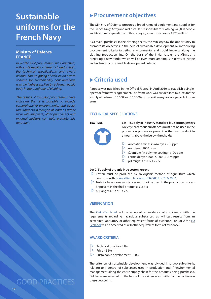# <span id="page-19-0"></span>**Sustainable uniforms for the French Navy**

### **Ministry of Defence FRANCE**

*In 2010 a pilot procurement was launched, with sustainability criteria included in both the technical specifications and award criteria. The weighting of 20% in the award scheme for sustainability considerations was the highest applied by a French public body in the purchase of clothing.* 

*The results of this pilot procurement have indicated that it is possible to include comprehensive environmental and social requirements in this type of tender. Further work with suppliers, other purchasers and external auditors can help promote this approach.* **TEXTILES**

# ▶ Procurement objectives

The Ministry of Defence procures a broad range of equipment and supplies for the French Navy, Army and Air Force. It is responsible for clothing 240,000 people and its annual expenditure in this category amounts to some €170 million.

As a major purchaser in the clothing sector, the Ministry saw the opportunity to promote its objectives in the field of sustainable development by introducing procurement criteria targeting environmental and social impacts along the clothing production line. On the basis of the initial results, the Ministry is preparing a new tender which will be even more ambitious in terms of scope and inclusion of sustainable development criteria.

# **► Criteria used**

A notice was published in the Official Journal in April 2010 to establish a singleoperator framework agreement. The framework was divided into two lots for the supply of between 36 000 and 150 000 cotton knit jerseys over a period of three years.

### **TECHNICAL SPECIFICATIONS**



**Lot 1: Supply of industry standard blue cotton jerseys** Toxicity: hazardous substances must not be used in the production process or present in the final product in amounts above the below thresholds:

- $\triangleright$  Aromatic amines in azo dyes < 30ppm
- $\triangleright$  Azo dyes <1000 ppm
- $\triangleright$  Cadmium (in polymer coating) <100 ppm
- $\triangleright$  Formaldehyde (cas : 50-00-0) < 75 ppm
- $\triangleright$  pH range: 4.5 < pH < 7.5

### **Lot 2: Supply of organic blue cotton jerseys**

- $\triangleright$  Cotton must be produced by an organic method of agriculture which conforms with [Council Regulation No. 834/2007 of 28.6.2007.](http://ec.europa.eu/agriculture/organic/eu-policy/legislation_en)
- $\triangleright$  Toxicity: hazardous substances must not be used in the production process or present in the final product (as Lot 1)
- $\triangleright$  pH range: 4.5 < pH < 7.5

### **VERIFICATION**

The [Oeko-Tex label](https://www.oeko-tex.com/OekoTex100_PUBLIC/index_portal.asp) will be accepted as evidence of conformity with the requirements regarding hazardous substances, as will test results from an accredited laboratory or other equivalent forms of evidence. For Lot 2 the [EU](http://ec.europa.eu/environment/ecolabel/products-groups-and-criteria.html)  [Ecolabel](http://ec.europa.eu/environment/ecolabel/products-groups-and-criteria.html) will be accepted as will other equivalent forms of evidence.

### **AWARD CRITERIA**

- Technical quality 45%
- $\triangleright$  Price 35%
- Sustainable development 20%

The criterion of sustainable development was divided into two sub-criteria, relating to i) control of substances used in production and ii) environmental management along the entire supply chain for the products being purchased. Bidders were assessed on the basis of the evidence submitted of their action on

GOOD PRACTICES these two points.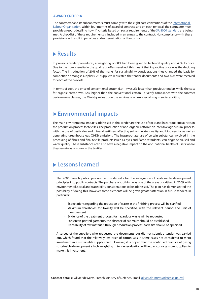### **AWARD CRITERIA**

The contractor and its subcontractors must comply with the eight core conventions of the [International](http://www.ilo.org/global/standards/lang--en/index.htm)  [Labour Organisation](http://www.ilo.org/global/standards/lang--en/index.htm). Within four months of award of contract, and on each renewal, the contractor must provide a report detailing how 11 criteria based on social requirements of the [SA 8000 standard](http://www.sa-intl.org/index.cfm?fuseaction=Page.ViewPage&PageID=937) are being met. A checklist of these requirements is included in an annex to the contract. Noncompliance with these provisions will result in penalties and/or termination of the contract.

# u **Results**

In previous tender procedures, a weighting of 60% had been given to technical quality and 40% to price. Due to the homogeneity in the quality of offers received, this meant that in practice price was the deciding factor. The introduction of 20% of the marks for sustainability considerations thus changed the basis for competition amongst suppliers. 28 suppliers requested the tender documents and two bids were received for each of the two lots.

In terms of cost, the price of conventional cotton (Lot 1) was 2% lower than previous tenders while the cost for organic cotton was 22% higher than the conventional cotton. To verify compliance with the contract performance clauses, the Ministry relies upon the services of a firm specialising in social auditing

# u **Environmental impacts**

The main environmental impacts addressed in this tender are the use of toxic and hazardous substances in the production process for textiles. The production of non-organic cotton is an intensive agricultural process, with the use of pesticides and mineral fertilisers affecting soil and water quality and biodiversity, as well as generating greenhouse gas (GHG) emissions. The inappropriate use of certain substances involved in the processing of fibres and final textile products (such as dyes and flame retardants) can degrade air, soil and water quality. These substances can also have a negative impact on the occupational health of users where they remain as residues in the textiles.

### u **Lessons learned**

The 2006 French public procurement code calls for the integration of sustainable development principles into public contracts. The purchase of clothing was one of the areas prioritised in 2009, with environmental, social and traceability considerations to be addressed. The pilot has demonstrated the possibility of doing this, however some elements will be given greater attention in future tenders. In particular:

- Expectations regarding the reduction of waste in the finishing process will be clarified
- • Maximum thresholds for toxicity will be specified, with the relevant period and unit of measurement
- Evidence of the treatment process for hazardous waste will be requested
- For screen-printed garments, the absence of cadmium should be established
- Traceability of raw materials through production process: each site should be specified

A survey of the suppliers who requested the documents but did not submit a tender was carried out, which found that the relatively low price of cotton was in some cases not considered to merit investment in a sustainable supply chain. However, it is hoped that the continued practice of giving sustainable development a high weighting in tender evaluation will help encourage more suppliers to make this investment.

**Contact details:** Olivier de Miras, French Ministry of Defence, Email: [olivier.de-miras@defense.gouv.fr](mailto:olivier.de-miras@defense.gouv.fr)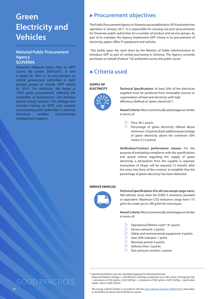# <span id="page-21-0"></span>**Green Electricity and Vehicles**

### **National Public Procurement Agency SLOVENIA**

*Slovenia's National Action Plan on GPP covers the period 2009-2012. It sets a target for 50% of all procurement by central government authorities in eight product groups to include GPP criteria by 2012. For electricity, the target is 100% green procurement, reflecting the availability of hydroelectric and biomass (wood) energy sources. The strategy also includes training on GPP, pilot projects and assisting public authorities in attaining third-party certified environmental management systems.* 

# ▶ Procurement objectives

The Public Procurement Agency in Slovenia was established in 2010 and went into operation in January 2011. It is responsible for carrying out joint procurements for Slovenian public authorities for a number of product and service groups. As part of its mandate, the Agency implements GPP criteria in its procurement of electricity, paper, office IT equipment and vehicles.

 This builds upon the work done by the Ministry of Public Administration to introduce GPP as part of central purchasing in Slovenia. The Agency currently purchases on behalf of about 130 authorities across the public sector.

# **► Criteria used**

#### **SUPPLY OF ELECTRICITY**



**Technical Specifications:** At least 30% of the electricity supplied must be produced from renewable sources or cogeneration of heat and electricity with high efficiency (defined as "green electricity").

**Award Criteria:** Most economically advantageous tender in terms of:

- $\triangleright$  Price: 96.1 points
- $\triangleright$  Percentage of green electricity offered above minimum: 3.9 points (Each additional percentage of green electricity above the minimum 30% means 0,15 points)

**Verification/Contract performance clauses:** For the purpose of evaluating compliance with the specifications and award criteria regarding the supply of green electricity, a declaration from the supplier is required. Guarantees of Origin will be required 12 months after the entry into force of the contract, to establish that the percentage of green electricity has been delivered.

### **SERVICE VEHICLES**



**Technical Specifications (For all Lots except cargo vans):**  FAll vehicles must meet the EURO 5 emissions standard or equivalent. Maximum CO2 emissions range from 115 g/km for small cars to 180 g/km for mini-buses.

**Award Criteria:** Most economically advantageous tender in terms of:

- $\triangleright$  Operational lifetime costs\*: 81 points
- $\triangleright$  Service network: 5 points
- $\triangleright$  Safety and environmental equipment: 4 points
- $\triangleright$  Gear shift indicator: 1 point
- $\triangleright$  Warranty period: 4 points
- $\triangleright$  Delivery time: 3 points
- $\triangleright$  Tyre pressure monitor: 2 points

\* Operational lifetime costs are calculated applying the following formula:

[Expected lifetime mileage ( = 200 000 km) x [(Energy needed per km in MJ x price of Energy per MJ) + (emissions of CO2 kg/km x 0,03 EUR/kg ) + (emissions of NO2 g/km x 0,001 EUR/g) + (particulate matter g/km x 0,087 g/km)]

The energy content of fuels, in accordance with the [Clean Vehicles Directive \(2009/33/EC\)](http://eur-lex.europa.eu/LexUriServ/LexUriServ.do?uri=CELEX:32009L0033:EN:NOT) were taken as 36 MJ/litre for diesel and 32 MJ/litre for petrol.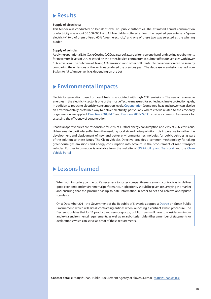#### **Supply of electricity:**

This tender was conducted on behalf of over 120 public authorities. The estimated annual consumption of electricity was about 35.500.000 kWh. All five bidders offered at least the required percentage of "green electricity", two of them offered 60% "green electricity" and one of these two was selected as the winning bidder.

#### **Supply of vehicles:**

Applying operational Life-Cycle Costing (LCC) as a part of award criteria on one hand, and setting requirements for maximum levels of CO2 released on the other, has led contractors to submit offers for vehicles with lower CO2 emissions. The outcome of taking CO2emissions and other pollutants into consideration can be seen by comparing the emissions of the vehicles tendered the previous year. The decrease in emissions varied from 3g/km to 45 g/km per vehicle, depending on the Lot

# u **Environmental impacts**

Electricity generation based on fossil fuels is associated with high CO2 emissions. The use of renewable energies in the electricity sector is one of the most effective measures for achieving climate protection goals, in addition to reducing electricity consumption levels. [Cogeneration](http://europa.eu/legislation_summaries/energy/energy_efficiency/l27021_en.htm) (combined heat and power) can also be an environmentally preferable way to deliver electricity, particularly where criteria related to the efficiency of generation are applied. [Directive 2004/8/EC](http://eur-lex.europa.eu/LexUriServ/LexUriServ.do?uri=CELEX:32004L0008:EN:NOT) and [Decision 2007/74/EC](http://eur-lex.europa.eu/LexUriServ/LexUriServ.do?uri=CELEX:32007D0074:EN:NOT) provide a common framework for assessing the efficiency of cogeneration.

Road transport vehicles are responsible for 26% of EU final energy consumption and 24% of CO2 emissions. Urban areas in particular suffer from the resulting local air and noise pollution. It is imperative to further the development and deployment of new and better environmental technologies for public vehicles as part of the solution to these issues. The Clean Vehicles Directive provides a common methodology for taking greenhouse gas emissions and energy consumption into account in the procurement of road transport vehicles. Further information is available from the website of [DG Mobility and Transport](http://ec.europa.eu/transport/urban/vehicles/directive/directive_en.htm) and the [Clean](http://www.cleanvehicle.eu/)  [Vehicle Portal](http://www.cleanvehicle.eu/).

# u **Lessons learned**

When administering contracts, it's necessary to foster competitiveness among contractors to deliver good economic and environmental performance. High priority should be given to surveying the market and ensuring that the procurer has up-to date information in order to set and achieve appropriate standards.

On 8 December 2011 the Government of the Republic of Slovenia adopted a [Decree](http://www.uradni-list.si/_pdf/2011/Ur/u2011102.pdf) on Green Public Procurement, which will aid all contracting entities when launching a contract award procedure. The Decree stipulates that for 11 product and service groups, public buyers will have to consider minimum and extra environmental requirements, as well as award criteria. It identifies a number of statements or declarations which can serve as proof of these requirements.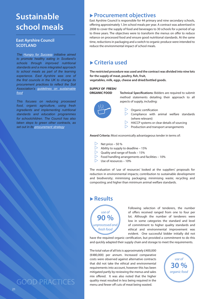# <span id="page-23-0"></span>**Sustainable school meals**

### **East Ayrshire Council SCOTLAND**

*The [Hungry for Success](http://www.scotland.gov.uk/Publications/2003/02/16273/17566) initiative aimed to promote healthy eating in Scotland's schools through improved nutritional standards and a more integrated approach to school meals as part of the learning experience. East Ayrshire was one of the first councils in the UK to change its procurement practices to reflect the Soil Association's [guidelines on sustainable](http://www.foodforlife.org.uk/)  [food](http://www.foodforlife.org.uk/).* 

*This focuses on reducing processed food, organic agriculture, using fresh ingredients and implementing nutritional standards and education programmes for schoolchildren. The Council has also taken steps to green other contracts, as set out in its [procurement strategy.](http://www.east-ayrshire.gov.uk/Resources/PDF/P/ProcurementStrategy.pdf)*

# **Procurement objectives**

East Ayrshire Council is responsible for 44 primary and nine secondary schools, offering approximately 1.3m school meals per year. A contract was advertised in 2008 to cover the supply of food and beverages to 30 schools for a period of up to three years. The objectives were to transform the menus on offer to reduce reliance on processed food and ensure good nutritional standards. At the same time, reductions in packaging and a switch to organic produce were intended to reduce the environmental impact of school meals.

# u **Criteria used**

**The restricted procedure was used and the contract was divided into nine lots for the supply of meat, poultry, fish, fruit,** 

**vegetables, milk, eggs, cheese and dried/bottled goods.**

#### **SUPPLY OF FRESH/ ORGANIC FOOD**

**Technical Specifications:** Bidders are required to submit method statements detailing their approach to all aspects of supply, including:



- Organic certification
- $\triangleright$  Compliance with animal welfare standards (where relevant)
- $\triangleright$  HACCP systems or clear details of sourcing
- $\triangleright$  Production and transport arrangements

**Award Criteria:** Most economically advantageous tender in terms of:

- Net price 50 %<br>  $>$  Ahility to supply
- Ability to supply to deadline  $-15%$
- $\triangleright$  Quality and range of foods 15%
- $\triangleright$  Food handling arrangements and facilities 10%
- $>$  Use of resources 10%

The evaluation of 'use of resources' looked at the suppliers' proposals for reduction in environmental impacts; contribution to sustainable development and biodiversity; minimising packaging; minimising waste; recycling and composting; and higher than minimum animal welfare standards.

# u **Results**



Following selection of tenderers, the number of offers received ranged from one to four per lot. Although the number of tenderers were low in some categories the standard and level of commitment to higher quality standards and ethical and environmental improvement was evident. One successful bidder initially did not

have the required organic certification, but provided a commitment to do this and quickly adapted their supply chain and storage to meet the requirements.

The total value of all lots is approximately £400,000 (€480,000) per annum. Increased comparative costs were observed against alternative contracts that did not take the ethical and environmental requirements into account, however this has been mitigated partly by reviewing the menus and sales mix offered. It was also noted that the higher quality meat resulted in less being required in the menu and fewer off cuts of meat being wasted.



GOOD PRACTICES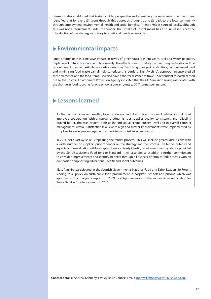Research also established that taking a wider perspective and examining the social return on investment identified that for every £1 spent through this approach brought up to £6 back to the local community through employment, environmental, health and social benefits. At least 70% is sourced locally, although this was not a requirement under the tender. The uptake of school meals has also increased since the introduction of the strategy – contrary to a national trend downwards.

# ▶ Environmental impacts

Food production has a massive impact in terms of greenhouse gas emissions, soil and water pollution, depletion of natural resources and biodiversity. The effects of industrial agriculture using pesticides and the production of meat in particular are carbon-intensive. Switching to organic agriculture, less processed food and minimising food waste can all help to reduce this burden. East Ayrshire's approach incorporated all these elements, and the food items used also have a shorter distance to travel. Independent research carried out by the Scottish Environment Protection Agency indicated that the CO2 emission savings associated with the change in food sourcing for one school alone amounts to 37.7 tonnes per annum.

# u **Lessons learned**

As the contract involved smaller, local producers and distributors the direct relationship allowed improved cooperation. With a narrow product list per supplier quality, consistency and reliability proved better. This was evident both at the individual school kitchen level and in overall contract management. Overall satisfaction levels were high and further improvements were implemented by suppliers following encouragement to work towards SALSA accreditation.

In 2011-2012 East Ayrshire is repeating the tender process. This will include greater discussions with a wider number of suppliers prior to tender on the strategy and the process. The tender criteria and aspects of the evaluation will be adapted to more clearly identify requirements and guidance provided by the Soil Association's Food for Life Standard. It will also aim to establish a further commitment to consider improvements and identify benefits through all aspects of farm to fork process with an emphasis on supporting educational, health and social outcomes.

 East Ayrshire participated in the Scottish Government's National Food and Drink Leadership Forum, leading to a policy on sustainable food procurement in hospitals, schools and prisons, which was approved with cross-party support in 2009. East Ayrshire was also the winner of an Association for Public Service Excellence award in 2011.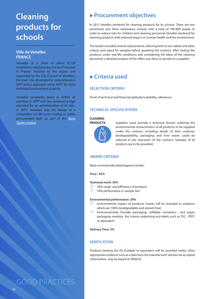# <span id="page-25-0"></span>**Cleaning products for schools**

### **Ville de Venelles FRANCE**

*Venelles is a town of about 8,100 inhabitants neighbouring Aix-en-Provence in France. Inspired by the mayor and supported by the City Council of Venelles, the town has developed a comprehensive GPP policy approach since 2007 for most municipal procurement projects.* 

*Venelles constantly seeks to further its activities in GPP and has achieved a high standard for an administration of its size. In 2011, Venelles was the winner of a competition on life-cycle costing in public procurement held as part of the [Euro](http://www.topten.eu/professional.html)  [Topten project](http://www.topten.eu/professional.html).*

# ▶ Procurement objectives

In 2011 Venelles tendered for cleaning products for its schools. There are two preschools and three elementary schools with a total of 700-800 pupils. In order to reduce risks for children and cleaning personnel, Venelles tendered for cleaning products with reduced impact on human health and the environment.

The tender included several requirements, referring both to eco-labels and other criteria, and asked for samples before awarding the contract. After testing the products under real-life conditions and considering the ideas of the cleaning personnel, a detailed analysis of the offers was done to decide on a supplier.

# u **Criteria used**

### **SELECTION CRITERIA**

Proof of technical and financial aptitude/suitability, references.

### **TECHNICAL SPECIFICATIONS**

#### **CLEANING PRODUCTS**



Suppliers must provide a technical dossier outlining the environmental characteristics of all products to be supplied under the contract, including details of their contents, biodegradability, packaging and how waste could be reduced in the execution of the contract. Samples of all products are to be provided.

### **AWARD CRITERIA**

Most economically advantageous tender:

**Price : 45%**

#### **Technical merit: 30%**

- 20% range and efficiency of products
- $\geq$  10% performance in sample test

### **Environmental performance: 20%**

- $\triangleright$  Environmental impact of products (marks will be awarded to products which are 100% biodegradable and solvent-free)
- $\triangleright$  Environmentally friendly packaging: refillable containers and paper packaging meeting the criteria underlying eco-labels such as FSC , PEFC or equivalent

**Delivery Time: 5%**

### **VERIFICATION**

Products bearing the EU Ecolabel or equivalent will be awarded marks, other appropriate evidence such as a data from the manufacturer will also be accepted (information may be based on REACH).

GOOD PRACTICES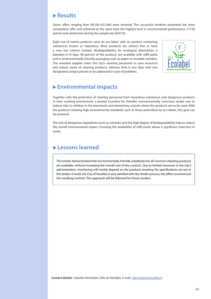Seven offers ranging from €8,100–€21,600 were received. The successful tenderer presented the most competitive offer and achieved at the same time the highest level in environmental performance (17/20 points) and satisfaction during the sample test (8.9/10).

Eight out of twelve products carry an eco-label, with no product containing substances known as hazardous. Most products are solvent free or have a very low solvent content. Biodegradability for ecological alternatives is between 6-10 days. 96 percent of the products are available with refill packs and in environmentally friendly packaging such as paper or reusable canisters. The awarded supplier trains the city's cleaning personnel to save resources and reduce waste of cleaning products. Delivery time is two days with one designated contact person to be addressed in case of problems.



# u **Environmental impacts**

Together with the protection of cleaning personnel from hazardous substances and dangerous products in their working environment, a pivotal incentive for Venelles' environmentally conscious tender was to reduce risks to children in the preschools and elementary schools where the products are to be used. With the products meeting high environmental standards such as those prescribed by eco-labels, this goal can be achieved.

The lack of dangerous ingredients (such as solvents) and the high degree of biodegradability help to reduce the overall environmental impact. Ensuring the availability of refill packs allows a significant reduction in waste.

# u **Lessons learned**

This tender demonstrated that environmentally-friendly substitutes for all common cleaning products are available, without increasing the overall cost of the contract. Due to limited resources in the city's administration, monitoring will mostly depend on the products meeting the specifications set out in the tender. Overall, the City of Venelles is very satisfied with the tender process, the offers received and the resulting contract. This approach will be followed for future tenders.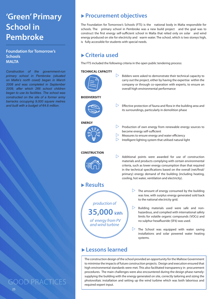# <span id="page-27-0"></span>**'Green' Primary School in Pembroke**

### **Foundation for Tomorrow's Schools MALTA**

*Construction of the government-run primary school in Pembroke (situated on Malta's north coast) began in March 2008 and was completed in September 2009, after which 266 school children began to use its facilities. The school was constructed on the site of a former army barracks occupying 9,000 square metres and built with a budget of €4.6 million.* 

▶ Procurement objectives

The Foundation for Tomorrow's Schools (FTS) is the national body in Malta responsible for schools. The primary school in Pembroke was a new build project and the goal was to construct the first energy self-sufficient school in Malta that relied only on solar and wind energy produced on site for electricity and warm water. The school, which is two storeys high, is fully accessible for students with special needs.

# **► Criteria used**

The FTS included the following criteria in the open public tendering process:

### **TECHNICAL CAPACITY**



# u **Lessons learned**

The construction design of the school provided an opportunity for the Maltese Government to minimise the impacts of future construction projects. Design and execution ensured that high environmental standards were met. This also facilitated transparency in procurement procedures. The main challenges were also encountered during the design phase namely: supplying the building with the energy generated on site, correctly tailoring and sizing the photovoltaic installation and setting up the wind turbine which was both laborious and required expert input.

25